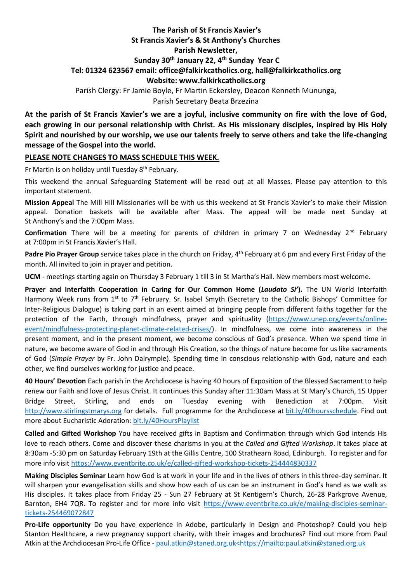## **The Parish of St Francis Xavier's St Francis Xavier's & St Anthony's Churches Parish Newsletter, Sunday 30th January 22, 4 th Sunday Year C Tel: 01324 623567 email: office@falkirkcatholics.org, [hall@falkirkcatholics.org](mailto:hall@falkirkcatholics.org) Website: [www.falkirkcatholics.org](http://www.falkirkcatholics.org/)**  Parish Clergy: Fr Jamie Boyle, Fr Martin Eckersley, Deacon Kenneth Mununga,

Parish Secretary Beata Brzezina

**At the parish of St Francis Xavier's we are a joyful, inclusive community on fire with the love of God, each growing in our personal relationship with Christ. As His missionary disciples, inspired by His Holy Spirit and nourished by our worship, we use our talents freely to serve others and take the life-changing message of the Gospel into the world.** 

## **PLEASE NOTE CHANGES TO MASS SCHEDULE THIS WEEK.**

Fr Martin is on holiday until Tuesday 8<sup>th</sup> February.

This weekend the annual Safeguarding Statement will be read out at all Masses. Please pay attention to this important statement.

**Mission Appeal** The Mill Hill Missionaries will be with us this weekend at St Francis Xavier's to make their Mission appeal. Donation baskets will be available after Mass. The appeal will be made next Sunday at St Anthony's and the 7:00pm Mass.

**Confirmation** There will be a meeting for parents of children in primary 7 on Wednesday 2<sup>nd</sup> February at 7:00pm in St Francis Xavier's Hall.

**Padre Pio Prayer Group** service takes place in the church on Friday, 4<sup>th</sup> February at 6 pm and every First Friday of the month. All invited to join in prayer and petition.

**UCM** - meetings starting again on Thursday 3 February 1 till 3 in St Martha's Hall. New members most welcome.

**Prayer and Interfaith Cooperation in Caring for Our Common Home (***Laudato Si'***).** The UN World Interfaith Harmony Week runs from 1<sup>st</sup> to 7<sup>th</sup> February. Sr. Isabel Smyth (Secretary to the Catholic Bishops' Committee for Inter-Religious Dialogue) is taking part in an event aimed at bringing people from different faiths together for the protection of the Earth, through mindfulness, prayer and spirituality [\(https://www.unep.org/events/online](https://www.unep.org/events/online-event/mindfulness-protecting-planet-climate-related-crises/)[event/mindfulness-protecting-planet-climate-related-crises/\)](https://www.unep.org/events/online-event/mindfulness-protecting-planet-climate-related-crises/). In mindfulness, we come into awareness in the present moment, and in the present moment, we become conscious of God's presence. When we spend time in nature, we become aware of God in and through His Creation, so the things of nature become for us like sacraments of God (*Simple Prayer* by Fr. John Dalrymple). Spending time in conscious relationship with God, nature and each other, we find ourselves working for justice and peace.

**40 Hours' Devotion** Each parish in the Archdiocese is having 40 hours of Exposition of the Blessed Sacrament to help renew our Faith and love of Jesus Christ. It continues this Sunday after 11:30am Mass at St Mary's Church, 15 Upper Bridge Street, Stirling, and ends on Tuesday evening with Benediction at 7:00pm. Visit [http://www.stirlingstmarys.org](http://www.stirlingstmarys.org/) for details. Full programme for the Archdiocese at [bit.ly/40hoursschedule.](https://emea01.safelinks.protection.outlook.com/?url=https%3A%2F%2Fbit.ly%2F40hoursschedule%3Ffbclid%3DIwAR2SjJ2jLYhcQumxKK24uHJHDu0y-uda3HFzPBQ4uxFkH3KVV6pbMOMH8xU&data=04%7C01%7C%7Cc57bc7b1a491426d9de808d9db59c6dd%7C84df9e7fe9f640afb435aaaaaaaaaaaa%7C1%7C0%7C637782001076685620%7CUnknown%7CTWFpbGZsb3d8eyJWIjoiMC4wLjAwMDAiLCJQIjoiV2luMzIiLCJBTiI6Ik1haWwiLCJXVCI6Mn0%3D%7C3000&sdata=qMwFypxIEvvbBw2Y4lplzUlpHlYQCHUi6LaXHcbemMY%3D&reserved=0) Find out more about Eucharistic Adoration: [bit.ly/40HoursPlaylist](https://emea01.safelinks.protection.outlook.com/?url=https%3A%2F%2Fwww.youtube.com%2Fplaylist%3Flist%3DPLQv_xMj23KQhTlXah0pBiYjsZDFx2grae&data=04%7C01%7C%7Cc57bc7b1a491426d9de808d9db59c6dd%7C84df9e7fe9f640afb435aaaaaaaaaaaa%7C1%7C0%7C637782001076685620%7CUnknown%7CTWFpbGZsb3d8eyJWIjoiMC4wLjAwMDAiLCJQIjoiV2luMzIiLCJBTiI6Ik1haWwiLCJXVCI6Mn0%3D%7C3000&sdata=1W4heFX3D1jFaHrY0MjrjRMDQT2XjCRvtH9A549gsQE%3D&reserved=0)

**Called and Gifted Workshop** You have received gifts in Baptism and Confirmation through which God intends His love to reach others. Come and discover these charisms in you at the *Called and Gifted Workshop*. It takes place at 8:30am -5:30 pm on Saturday February 19th at the Gillis Centre, 100 Strathearn Road, Edinburgh. To register and for more info visit<https://www.eventbrite.co.uk/e/called-gifted-workshop-tickets-254444830337>

**Making Disciples Seminar** Learn how God is at work in your life and in the lives of others in this three-day seminar. It will sharpen your evangelisation skills and show how each of us can be an instrument in God's hand as we walk as His disciples. It takes place from Friday 25 - Sun 27 February at St Kentigern's Church, 26-28 Parkgrove Avenue, Barnton, EH4 7QR. To register and for more info visit [https://www.eventbrite.co.uk/e/making-disciples-seminar](https://www.eventbrite.co.uk/e/making-disciples-seminar-tickets-254469072847)[tickets-254469072847](https://www.eventbrite.co.uk/e/making-disciples-seminar-tickets-254469072847)

**Pro-Life opportunity** Do you have experience in Adobe, particularly in Design and Photoshop? Could you help Stanton Healthcare, a new pregnancy support charity, with their images and brochures? Find out more from Paul Atkin at the Archdiocesan Pro-Life Office - [paul.atkin@staned.org.uk<https://mailto:paul.atkin@staned.org.uk](mailto:paul.atkin@staned.org.uk%3chttps://mailto:paul.atkin@staned.org.uk)